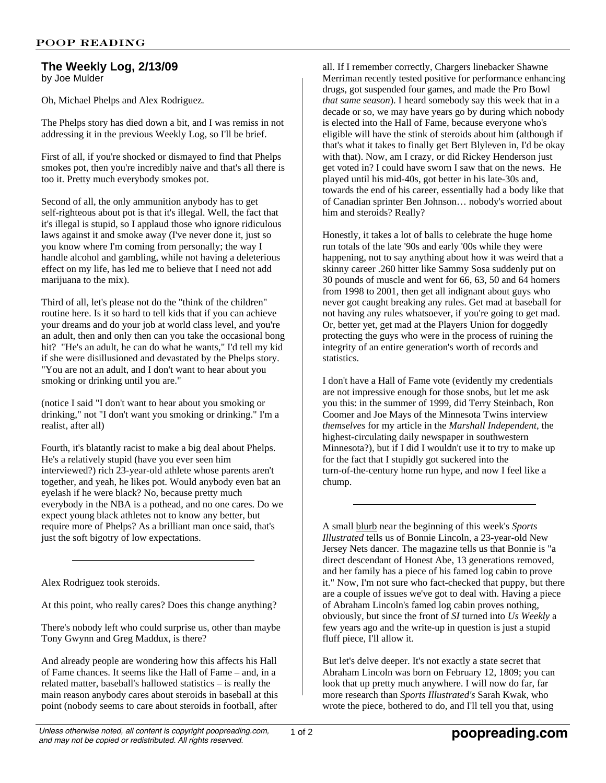## **The Weekly Log, 2/13/09** by Joe Mulder

Oh, Michael Phelps and Alex Rodriguez.

The Phelps story has died down a bit, and I was remiss in not addressing it in the previous Weekly Log, so I'll be brief.

First of all, if you're shocked or dismayed to find that Phelps smokes pot, then you're incredibly naive and that's all there is too it. Pretty much everybody smokes pot.

Second of all, the only ammunition anybody has to get self-righteous about pot is that it's illegal. Well, the fact that it's illegal is stupid, so I applaud those who ignore ridiculous laws against it and smoke away (I've never done it, just so you know where I'm coming from personally; the way I handle alcohol and gambling, while not having a deleterious effect on my life, has led me to believe that I need not add marijuana to the mix).

Third of all, let's please not do the "think of the children" routine here. Is it so hard to tell kids that if you can achieve your dreams and do your job at world class level, and you're an adult, then and only then can you take the occasional bong hit? "He's an adult, he can do what he wants," I'd tell my kid if she were disillusioned and devastated by the Phelps story. "You are not an adult, and I don't want to hear about you smoking or drinking until you are."

(notice I said "I don't want to hear about you smoking or drinking," not "I don't want you smoking or drinking." I'm a realist, after all)

Fourth, it's blatantly racist to make a big deal about Phelps. He's a relatively stupid (have you ever seen him interviewed?) rich 23-year-old athlete whose parents aren't together, and yeah, he likes pot. Would anybody even bat an eyelash if he were black? No, because pretty much everybody in the NBA is a pothead, and no one cares. Do we expect young black athletes not to know any better, but require more of Phelps? As a brilliant man once said, that's just the soft bigotry of low expectations.

Alex Rodriguez took steroids.

At this point, who really cares? Does this change anything?

There's nobody left who could surprise us, other than maybe Tony Gwynn and Greg Maddux, is there?

And already people are wondering how this affects his Hall of Fame chances. It seems like the Hall of Fame – and, in a related matter, baseball's hallowed statistics – is really the main reason anybody cares about steroids in baseball at this point (nobody seems to care about steroids in football, after all. If I remember correctly, Chargers linebacker Shawne Merriman recently tested positive for performance enhancing drugs, got suspended four games, and made the Pro Bowl *that same season*). I heard somebody say this week that in a decade or so, we may have years go by during which nobody is elected into the Hall of Fame, because everyone who's eligible will have the stink of steroids about him (although if that's what it takes to finally get Bert Blyleven in, I'd be okay with that). Now, am I crazy, or did Rickey Henderson just get voted in? I could have sworn I saw that on the news. He played until his mid-40s, got better in his late-30s and, towards the end of his career, essentially had a body like that of Canadian sprinter Ben Johnson… nobody's worried about him and steroids? Really?

Honestly, it takes a lot of balls to celebrate the huge home run totals of the late '90s and early '00s while they were happening, not to say anything about how it was weird that a skinny career .260 hitter like Sammy Sosa suddenly put on 30 pounds of muscle and went for 66, 63, 50 and 64 homers from 1998 to 2001, then get all indignant about guys who never got caught breaking any rules. Get mad at baseball for not having any rules whatsoever, if you're going to get mad. Or, better yet, get mad at the Players Union for doggedly protecting the guys who were in the process of ruining the integrity of an entire generation's worth of records and statistics.

I don't have a Hall of Fame vote (evidently my credentials are not impressive enough for those snobs, but let me ask you this: in the summer of 1999, did Terry Steinbach, Ron Coomer and Joe Mays of the Minnesota Twins interview *themselves* for my article in the *Marshall Independent*, the highest-circulating daily newspaper in southwestern Minnesota?), but if I did I wouldn't use it to try to make up for the fact that I stupidly got suckered into the turn-of-the-century home run hype, and now I feel like a chump.

A small blurb near the beginning of this week's *Sports Illustrated* tells us of Bonnie Lincoln, a 23-year-old New Jersey Nets dancer. The magazine tells us that Bonnie is "a direct descendant of Honest Abe, 13 generations removed, and her family has a piece of his famed log cabin to prove it." Now, I'm not sure who fact-checked that puppy, but there are a couple of issues we've got to deal with. Having a piece of Abraham Lincoln's famed log cabin proves nothing, obviously, but since the front of *SI* turned into *Us Weekly* a few years ago and the write-up in question is just a stupid fluff piece, I'll allow it.

But let's delve deeper. It's not exactly a state secret that Abraham Lincoln was born on February 12, 1809; you can look that up pretty much anywhere. I will now do far, far more research than *Sports Illustrated's* Sarah Kwak, who wrote the piece, bothered to do, and I'll tell you that, using